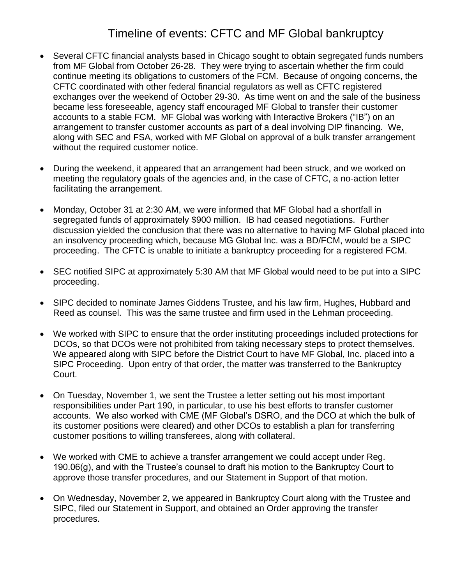## Timeline of events: CFTC and MF Global bankruptcy

- Several CFTC financial analysts based in Chicago sought to obtain segregated funds numbers from MF Global from October 26-28. They were trying to ascertain whether the firm could continue meeting its obligations to customers of the FCM. Because of ongoing concerns, the CFTC coordinated with other federal financial regulators as well as CFTC registered exchanges over the weekend of October 29-30. As time went on and the sale of the business became less foreseeable, agency staff encouraged MF Global to transfer their customer accounts to a stable FCM. MF Global was working with Interactive Brokers ("IB") on an arrangement to transfer customer accounts as part of a deal involving DIP financing. We, along with SEC and FSA, worked with MF Global on approval of a bulk transfer arrangement without the required customer notice.
- During the weekend, it appeared that an arrangement had been struck, and we worked on meeting the regulatory goals of the agencies and, in the case of CFTC, a no-action letter facilitating the arrangement.
- Monday, October 31 at 2:30 AM, we were informed that MF Global had a shortfall in segregated funds of approximately \$900 million. IB had ceased negotiations. Further discussion yielded the conclusion that there was no alternative to having MF Global placed into an insolvency proceeding which, because MG Global Inc. was a BD/FCM, would be a SIPC proceeding. The CFTC is unable to initiate a bankruptcy proceeding for a registered FCM.
- SEC notified SIPC at approximately 5:30 AM that MF Global would need to be put into a SIPC proceeding.
- SIPC decided to nominate James Giddens Trustee, and his law firm, Hughes, Hubbard and Reed as counsel. This was the same trustee and firm used in the Lehman proceeding.
- We worked with SIPC to ensure that the order instituting proceedings included protections for DCOs, so that DCOs were not prohibited from taking necessary steps to protect themselves. We appeared along with SIPC before the District Court to have MF Global, Inc. placed into a SIPC Proceeding. Upon entry of that order, the matter was transferred to the Bankruptcy Court.
- On Tuesday, November 1, we sent the Trustee a letter setting out his most important responsibilities under Part 190, in particular, to use his best efforts to transfer customer accounts. We also worked with CME (MF Global's DSRO, and the DCO at which the bulk of its customer positions were cleared) and other DCOs to establish a plan for transferring customer positions to willing transferees, along with collateral.
- We worked with CME to achieve a transfer arrangement we could accept under Reg. 190.06(g), and with the Trustee's counsel to draft his motion to the Bankruptcy Court to approve those transfer procedures, and our Statement in Support of that motion.
- On Wednesday, November 2, we appeared in Bankruptcy Court along with the Trustee and SIPC, filed our Statement in Support, and obtained an Order approving the transfer procedures.